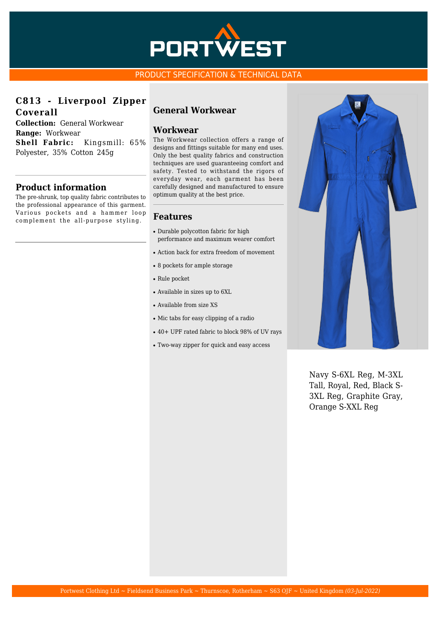

## PRODUCT SPECIFICATION & TECHNICAL DATA

**C813 - Liverpool Zipper Coverall**

**Collection:** General Workwear **Range:** Workwear **Shell Fabric:** Kingsmill: 65% Polyester, 35% Cotton 245g

# **Product information**

The pre-shrunk, top quality fabric contributes to the professional appearance of this garment. Various pockets and a hammer loop complement the all-purpose styling.

# **General Workwear**

#### **Workwear**

The Workwear collection offers a range of designs and fittings suitable for many end uses. Only the best quality fabrics and construction techniques are used guaranteeing comfort and safety. Tested to withstand the rigors of everyday wear, each garment has been carefully designed and manufactured to ensure optimum quality at the best price.

## **Features**

- Durable polycotton fabric for high performance and maximum wearer comfort
- Action back for extra freedom of movement
- 8 pockets for ample storage
- Rule pocket
- Available in sizes up to 6XL
- Available from size XS
- Mic tabs for easy clipping of a radio
- 40+ UPF rated fabric to block 98% of UV rays
- Two-way zipper for quick and easy access



Navy S-6XL Reg, M-3XL Tall, Royal, Red, Black S-3XL Reg, Graphite Gray, Orange S-XXL Reg